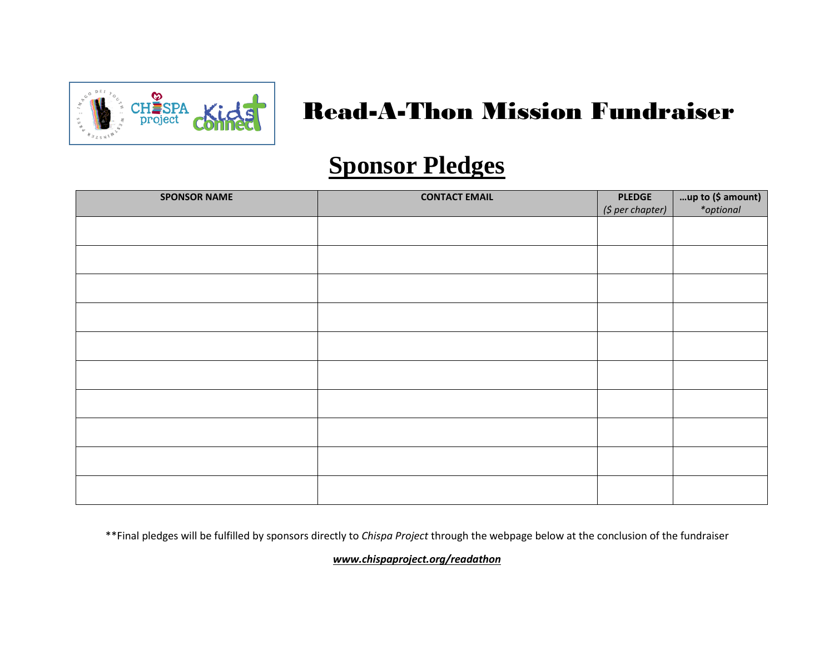

## Read-A-Thon Mission Fundraiser

## **Sponsor Pledges**

| <b>SPONSOR NAME</b> | <b>CONTACT EMAIL</b> | <b>PLEDGE</b><br>(\$ per chapter) | up to $($ \$ amount $\ast$ optional |
|---------------------|----------------------|-----------------------------------|-------------------------------------|
|                     |                      |                                   |                                     |
|                     |                      |                                   |                                     |
|                     |                      |                                   |                                     |
|                     |                      |                                   |                                     |
|                     |                      |                                   |                                     |
|                     |                      |                                   |                                     |
|                     |                      |                                   |                                     |
|                     |                      |                                   |                                     |
|                     |                      |                                   |                                     |
|                     |                      |                                   |                                     |
|                     |                      |                                   |                                     |

\*\*Final pledges will be fulfilled by sponsors directly to *Chispa Project* through the webpage below at the conclusion of the fundraiser

*www.chispaproject.org/readathon*